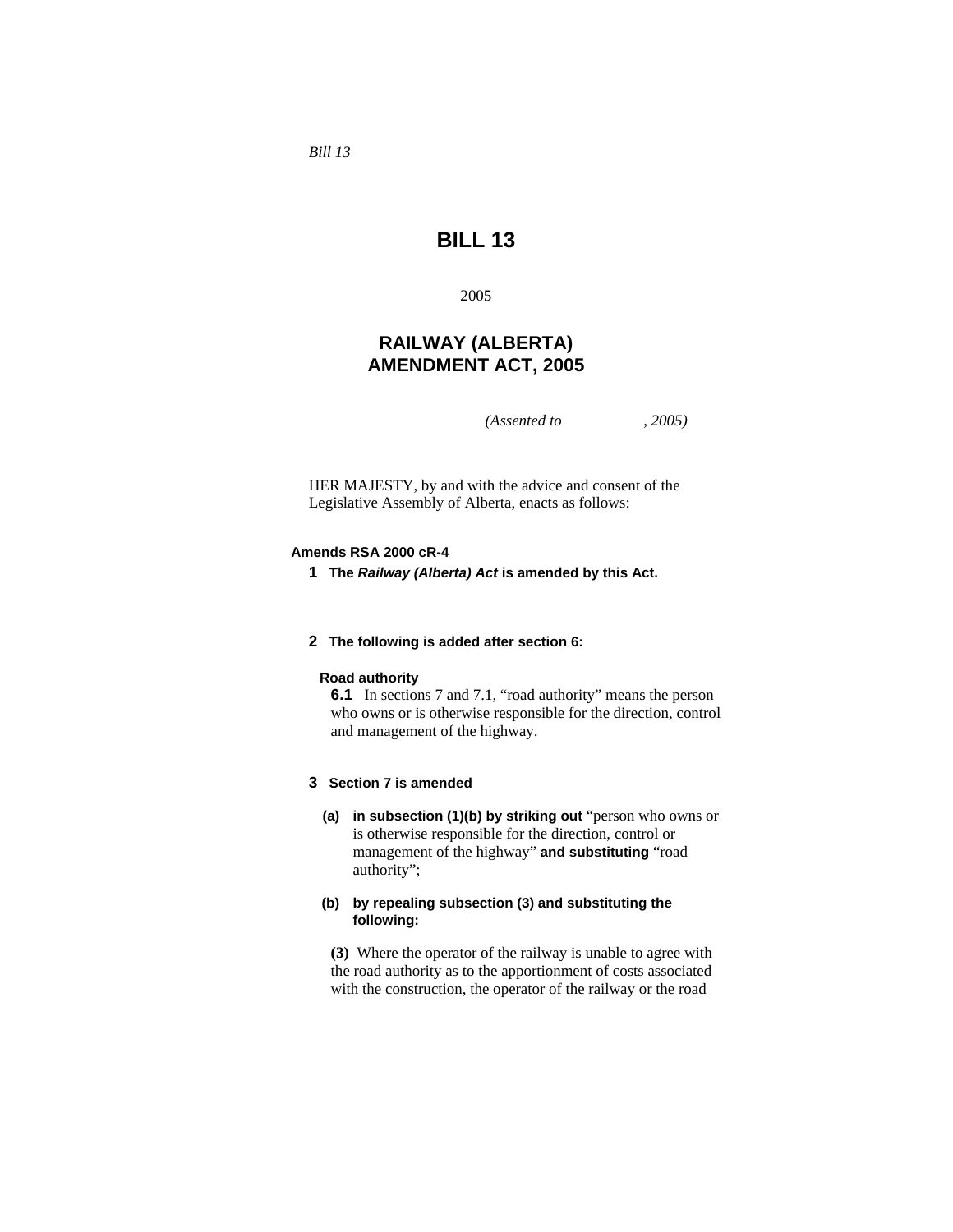*Bill 13* 

# **BILL 13**

2005

# **RAILWAY (ALBERTA) AMENDMENT ACT, 2005**

*(Assented to , 2005)* 

HER MAJESTY, by and with the advice and consent of the Legislative Assembly of Alberta, enacts as follows:

# **Amends RSA 2000 cR-4**

**1 The** *Railway (Alberta) Act* **is amended by this Act.** 

## **2 The following is added after section 6:**

#### **Road authority**

**6.1** In sections 7 and 7.1, "road authority" means the person who owns or is otherwise responsible for the direction, control and management of the highway.

# **3 Section 7 is amended**

**(a) in subsection (1)(b) by striking out** "person who owns or is otherwise responsible for the direction, control or management of the highway" **and substituting** "road authority";

# **(b) by repealing subsection (3) and substituting the following:**

**(3)** Where the operator of the railway is unable to agree with the road authority as to the apportionment of costs associated with the construction, the operator of the railway or the road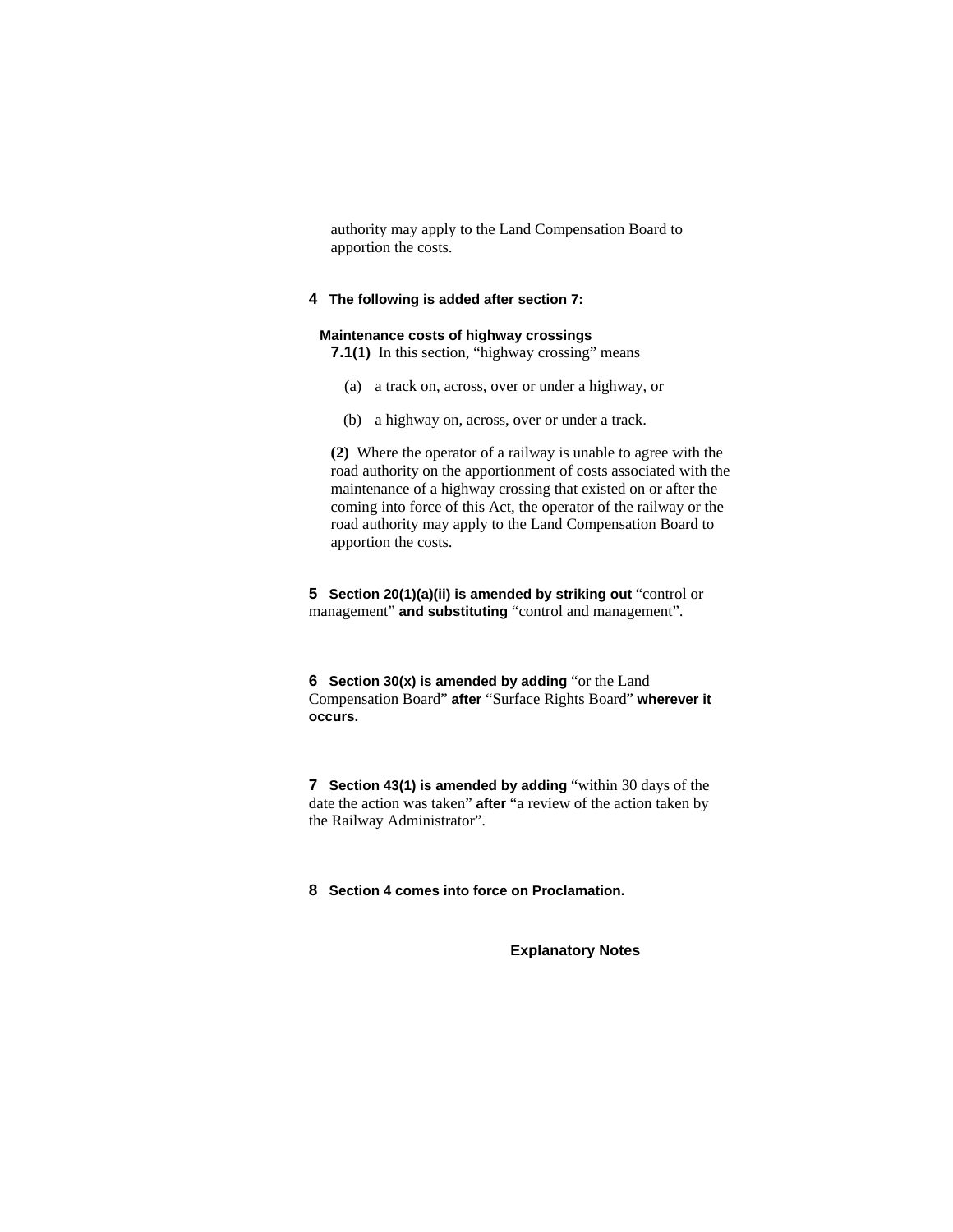authority may apply to the Land Compensation Board to apportion the costs.

# **4 The following is added after section 7:**

# **Maintenance costs of highway crossings**

**7.1**(1) In this section, "highway crossing" means

- (a) a track on, across, over or under a highway, or
- (b) a highway on, across, over or under a track.

**(2)** Where the operator of a railway is unable to agree with the road authority on the apportionment of costs associated with the maintenance of a highway crossing that existed on or after the coming into force of this Act, the operator of the railway or the road authority may apply to the Land Compensation Board to apportion the costs.

**5 Section 20(1)(a)(ii) is amended by striking out** "control or management" **and substituting** "control and management".

**6 Section 30(x) is amended by adding** "or the Land Compensation Board" **after** "Surface Rights Board" **wherever it occurs.**

**7 Section 43(1) is amended by adding** "within 30 days of the date the action was taken" **after** "a review of the action taken by the Railway Administrator".

**8 Section 4 comes into force on Proclamation.** 

**Explanatory Notes**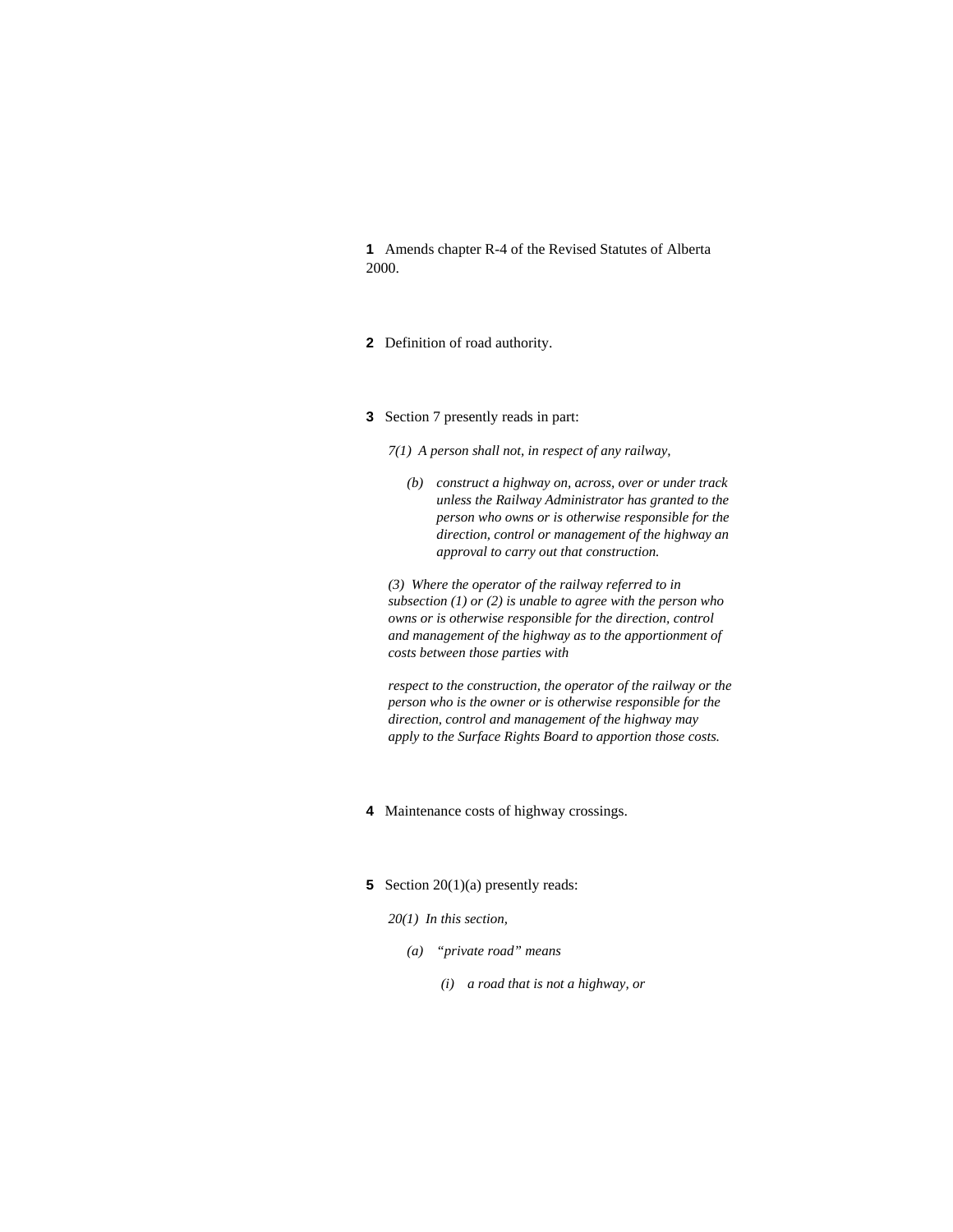**1** Amends chapter R-4 of the Revised Statutes of Alberta 2000.

- **2** Definition of road authority.
- **3** Section 7 presently reads in part:
	- *7(1) A person shall not, in respect of any railway,* 
		- *(b) construct a highway on, across, over or under track unless the Railway Administrator has granted to the person who owns or is otherwise responsible for the direction, control or management of the highway an approval to carry out that construction.*

*(3) Where the operator of the railway referred to in subsection (1) or (2) is unable to agree with the person who owns or is otherwise responsible for the direction, control and management of the highway as to the apportionment of costs between those parties with* 

*respect to the construction, the operator of the railway or the person who is the owner or is otherwise responsible for the direction, control and management of the highway may apply to the Surface Rights Board to apportion those costs.* 

- **4** Maintenance costs of highway crossings.
- **5** Section 20(1)(a) presently reads:

*20(1) In this section,* 

- *(a) "private road" means* 
	- *(i) a road that is not a highway, or*